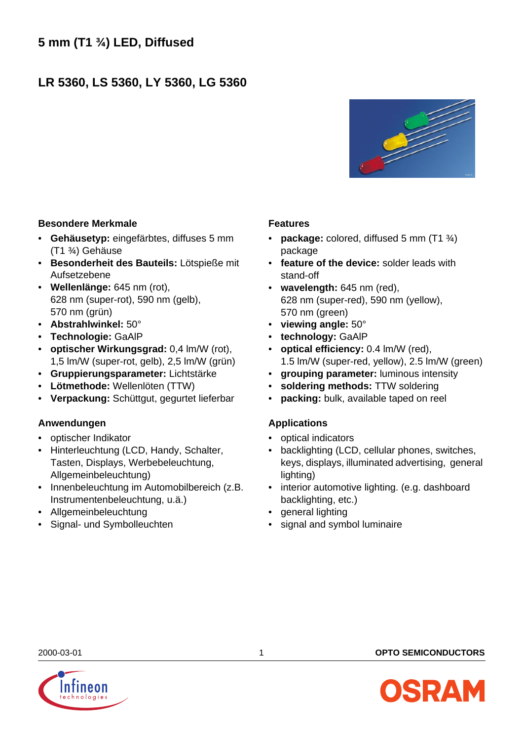# **LR 5360, LS 5360, LY 5360, LG 5360**



# **Besondere Merkmale**

- **Gehäusetyp:** eingefärbtes, diffuses 5 mm (T1 ¾) Gehäuse
- **Besonderheit des Bauteils:** Lötspieße mit Aufsetzebene
- **Wellenlänge:** 645 nm (rot), 628 nm (super-rot), 590 nm (gelb), 570 nm (grün)
- **Abstrahlwinkel:** 50°
- **Technologie:** GaAlP
- **optischer Wirkungsgrad:** 0,4 lm/W (rot), 1,5 lm/W (super-rot, gelb), 2,5 lm/W (grün)
- **Gruppierungsparameter:** Lichtstärke
- **Lötmethode:** Wellenlöten (TTW)
- **Verpackung:** Schüttgut, gegurtet lieferbar

# **Anwendungen**

- optischer Indikator
- Hinterleuchtung (LCD, Handy, Schalter, Tasten, Displays, Werbebeleuchtung, Allgemeinbeleuchtung)
- Innenbeleuchtung im Automobilbereich (z.B. Instrumentenbeleuchtung, u.ä.)
- Allgemeinbeleuchtung
- Signal- und Symbolleuchten

# **Features**

- **package:** colored, diffused 5 mm (T1 ¾) package
- **feature of the device:** solder leads with stand-off
- **wavelength:** 645 nm (red), 628 nm (super-red), 590 nm (yellow), 570 nm (green)
- **viewing angle:** 50°
- **technology:** GaAlP
- **optical efficiency:** 0.4 lm/W (red), 1.5 lm/W (super-red, yellow), 2.5 lm/W (green)
- **grouping parameter:** luminous intensity
- **soldering methods:** TTW soldering
- **packing:** bulk, available taped on reel

# **Applications**

- optical indicators
- backlighting (LCD, cellular phones, switches, keys, displays, illuminated advertising, general lighting)
- interior automotive lighting. (e.g. dashboard backlighting, etc.)
- general lighting
- signal and symbol luminaire



2000-03-01 1 **OPTO SEMICONDUCTORS**

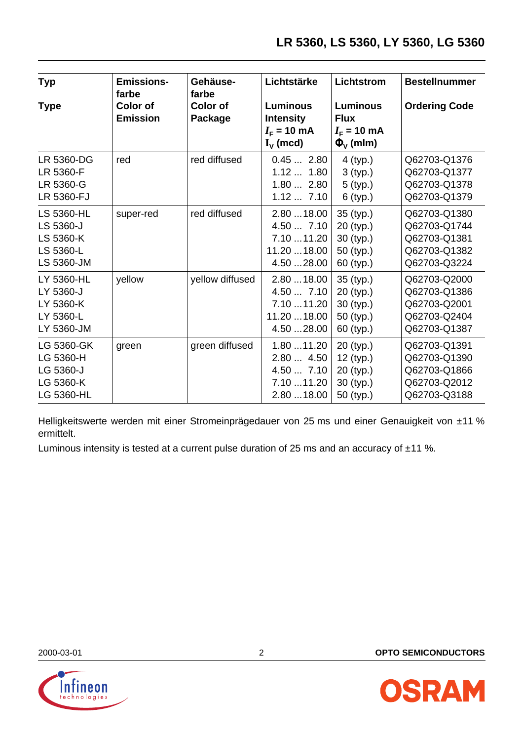| <b>Typ</b>                                                             | <b>Emissions-</b><br>farbe         | Gehäuse-<br>farbe          | Lichtstärke                                                            | Lichtstrom                                                                | <b>Bestellnummer</b>                                                         |
|------------------------------------------------------------------------|------------------------------------|----------------------------|------------------------------------------------------------------------|---------------------------------------------------------------------------|------------------------------------------------------------------------------|
| <b>Type</b>                                                            | <b>Color of</b><br><b>Emission</b> | <b>Color of</b><br>Package | <b>Luminous</b><br><b>Intensity</b><br>$IF$ = 10 mA<br>$I_{\nu}$ (mcd) | <b>Luminous</b><br><b>Flux</b><br>$I_{\rm F}$ = 10 mA<br>$\Phi_{V}$ (mlm) | <b>Ordering Code</b>                                                         |
| LR 5360-DG<br>LR 5360-F<br>LR 5360-G<br>LR 5360-FJ                     | red                                | red diffused               | 0.452.80<br>1.12 1.80<br>1.80 2.80<br>1.127.10                         | 4 (typ.)<br>3 (typ.)<br>5 (typ.)<br>6 (typ.)                              | Q62703-Q1376<br>Q62703-Q1377<br>Q62703-Q1378<br>Q62703-Q1379                 |
| <b>LS 5360-HL</b><br>LS 5360-J<br>LS 5360-K<br>LS 5360-L<br>LS 5360-JM | super-red                          | red diffused               | 2.8018.00<br>4.50  7.10<br>7.10  11.20<br>11.20  18.00<br>4.50  28.00  | 35 (typ.)<br>20 (typ.)<br>30 (typ.)<br>50 (typ.)<br>60 (typ.)             | Q62703-Q1380<br>Q62703-Q1744<br>Q62703-Q1381<br>Q62703-Q1382<br>Q62703-Q3224 |
| LY 5360-HL<br>LY 5360-J<br>LY 5360-K<br>LY 5360-L<br>LY 5360-JM        | yellow                             | yellow diffused            | 2.8018.00<br>4.50  7.10<br>7.1011.20<br>11.20  18.00<br>4.50  28.00    | 35 (typ.)<br>20 (typ.)<br>30 (typ.)<br>50 (typ.)<br>60 (typ.)             | Q62703-Q2000<br>Q62703-Q1386<br>Q62703-Q2001<br>Q62703-Q2404<br>Q62703-Q1387 |
| LG 5360-GK<br>LG 5360-H<br>LG 5360-J<br>LG 5360-K<br>LG 5360-HL        | green                              | green diffused             | 1.80  11.20<br>2.80  4.50<br>4.50  7.10<br>7.10  11.20<br>2.80  18.00  | 20 (typ.)<br>12 (typ.)<br>20 (typ.)<br>30 (typ.)<br>50 (typ.)             | Q62703-Q1391<br>Q62703-Q1390<br>Q62703-Q1866<br>Q62703-Q2012<br>Q62703-Q3188 |

Helligkeitswerte werden mit einer Stromeinprägedauer von 25 ms und einer Genauigkeit von ±11 % ermittelt.

Luminous intensity is tested at a current pulse duration of 25 ms and an accuracy of ±11 %.



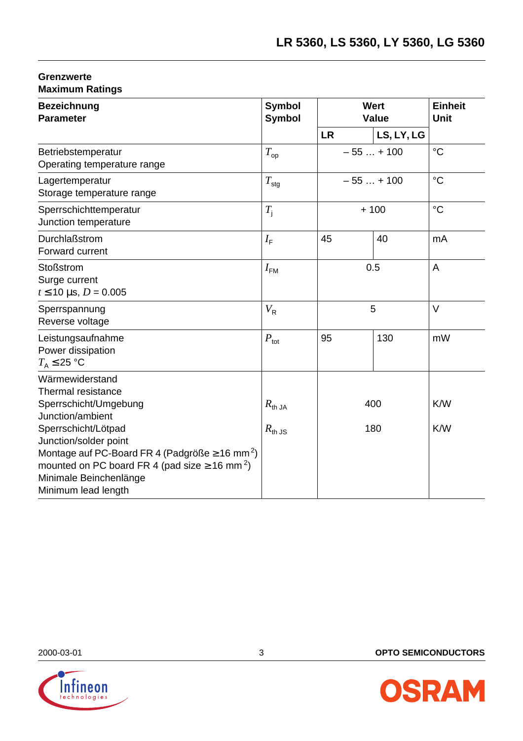# **Grenzwerte Maximum Ratings**

| <b>Bezeichnung</b><br><b>Parameter</b>                                                                                                                                                                      | <b>Symbol</b><br><b>Symbol</b>           | <b>Wert</b><br><b>Value</b> | <b>Einheit</b><br><b>Unit</b> |                 |
|-------------------------------------------------------------------------------------------------------------------------------------------------------------------------------------------------------------|------------------------------------------|-----------------------------|-------------------------------|-----------------|
|                                                                                                                                                                                                             |                                          | <b>LR</b>                   | LS, LY, LG                    |                 |
| Betriebstemperatur<br>Operating temperature range                                                                                                                                                           | $T_{\rm op}$                             |                             | $-55+100$                     | $\rm ^{\circ}C$ |
| Lagertemperatur<br>Storage temperature range                                                                                                                                                                | $T_{\rm stg}$                            | $-55+100$                   |                               | $\rm ^{\circ}C$ |
| Sperrschichttemperatur<br>Junction temperature                                                                                                                                                              | $T_{\rm i}$                              |                             | $+100$                        | $\rm ^{\circ}C$ |
| Durchlaßstrom<br>Forward current                                                                                                                                                                            | $I_{\rm F}$                              | 45                          | 40                            | mA              |
| <b>Stoßstrom</b><br>Surge current<br>$t \le 10$ µs, $D = 0.005$                                                                                                                                             | $I_{\text{FM}}$                          | 0.5                         |                               | A               |
| Sperrspannung<br>Reverse voltage                                                                                                                                                                            | $V_{\rm R}$                              | 5                           |                               | $\vee$          |
| Leistungsaufnahme<br>Power dissipation<br>$T_A \leq 25$ °C                                                                                                                                                  | $P_{\text{tot}}$                         | 95                          | 130                           | mW              |
| Wärmewiderstand<br>Thermal resistance<br>Sperrschicht/Umgebung<br>Junction/ambient<br>Sperrschicht/Lötpad                                                                                                   | $R_{\text{th JA}}$<br>$R_{\text{th JS}}$ | 400<br>180                  |                               | K/W<br>K/W      |
| Junction/solder point<br>Montage auf PC-Board FR 4 (Padgröße $\geq$ 16 mm <sup>2</sup> )<br>mounted on PC board FR 4 (pad size $\geq$ 16 mm <sup>2</sup> )<br>Minimale Beinchenlänge<br>Minimum lead length |                                          |                             |                               |                 |



2000-03-01 3 **OPTO SEMICONDUCTORS**

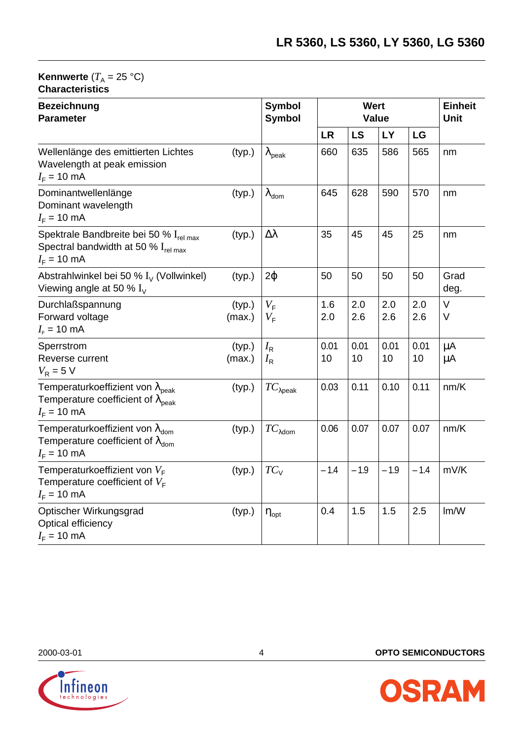#### **Kennwerte**  $(T_A = 25 \text{ }^{\circ}\text{C})$ **Characteristics**

| <b>Bezeichnung</b><br><b>Parameter</b>                                                                                        |                  | <b>Symbol</b><br><b>Symbol</b>       |            | Wert       | Value      |            | <b>Einheit</b><br><b>Unit</b> |
|-------------------------------------------------------------------------------------------------------------------------------|------------------|--------------------------------------|------------|------------|------------|------------|-------------------------------|
|                                                                                                                               |                  |                                      | LR         | <b>LS</b>  | LY         | LG         |                               |
| Wellenlänge des emittierten Lichtes<br>Wavelength at peak emission<br>$I_F$ = 10 mA                                           | (typ.)           | $\lambda_{\mathsf{peak}}$            | 660        | 635        | 586        | 565        | nm                            |
| Dominantwellenlänge<br>Dominant wavelength<br>$I_F = 10 \text{ mA}$                                                           | (typ.)           | $\lambda_{\text{dom}}$               | 645        | 628        | 590        | 570        | nm                            |
| Spektrale Bandbreite bei 50 % I <sub>rel max</sub><br>Spectral bandwidth at 50 % $I_{rel\,max}$<br>$I_F = 10 \text{ mA}$      | (typ.)           | Δλ                                   | 35         | 45         | 45         | 25         | nm                            |
| Abstrahlwinkel bei 50 % $I_{\vee}$ (Vollwinkel)<br>Viewing angle at 50 % $I_V$                                                | (typ.)           | $2\varphi$                           | 50         | 50         | 50         | 50         | Grad<br>deg.                  |
| Durchlaßspannung<br>Forward voltage<br>$I_{\rm F}$ = 10 mA                                                                    | (typ.)<br>(max.) | $V_{\text{F}}$<br>$V_{\rm F}$        | 1.6<br>2.0 | 2.0<br>2.6 | 2.0<br>2.6 | 2.0<br>2.6 | $\vee$<br>V                   |
| Sperrstrom<br>Reverse current<br>$V_R = 5 V$                                                                                  | (typ.)<br>(max.) | $I_{\mathsf{R}}$<br>$I_{\mathsf{R}}$ | 0.01<br>10 | 0.01<br>10 | 0.01<br>10 | 0.01<br>10 | μA<br>μA                      |
| Temperaturkoeffizient von $\lambda_{\rm peak}$<br>Temperature coefficient of $\lambda_{\text{peak}}$<br>$I_F = 10 \text{ mA}$ | (typ.)           | $TC_{\lambda \rm peak}$              | 0.03       | 0.11       | 0.10       | 0.11       | nm/K                          |
| Temperaturkoeffizient von $\lambda_{\text{dom}}$<br>Temperature coefficient of $\lambda_{\text{dom}}$<br>$I_F = 10$ mA        | (typ.)           | $TC_{\lambda$ dom                    | 0.06       | 0.07       | 0.07       | 0.07       | nm/K                          |
| Temperaturkoeffizient von $V_F$<br>Temperature coefficient of $V_F$<br>$I_F$ = 10 mA                                          | (typ.)           | $TC_{V}$                             | $-1.4$     | $-1.9$     | $-1.9$     | $-1.4$     | mV/K                          |
| Optischer Wirkungsgrad<br>Optical efficiency<br>$I_F = 10 \text{ mA}$                                                         | (typ.)           | $\eta_{\text{opt}}$                  | 0.4        | 1.5        | 1.5        | 2.5        | Im/W                          |



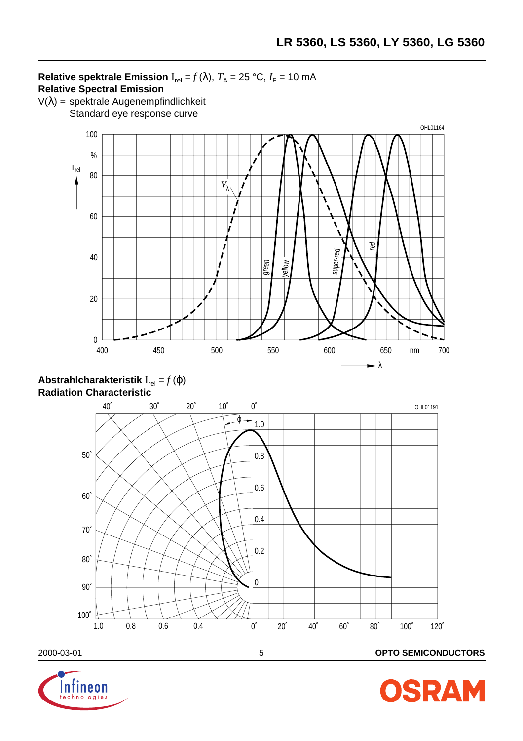# **Relative spektrale Emission**  $I_{rel} = f(\lambda)$ ,  $T_A = 25 °C$ ,  $I_F = 10 mA$ **Relative Spectral Emission**

 $V(\lambda)$  = spektrale Augenempfindlichkeit Standard eye response curve







#### 2000-03-01 5 **OPTO SEMICONDUCTORS**



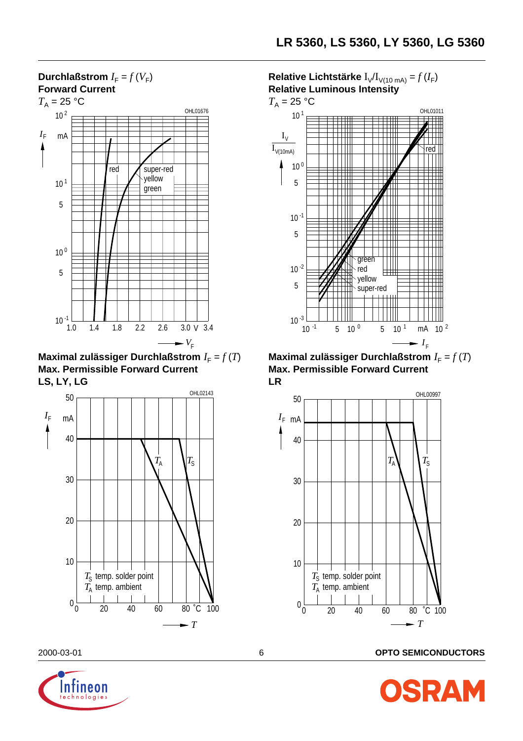

**Maximal zulässiger Durchlaßstrom**  $I_F = f(T)$ **Max. Permissible Forward Current LS, LY, LG**



**Relative Lichtstärke**  $I_V/I_{V(10 \text{ mA})} = f(I_F)$ **Relative Luminous Intensity**



**Maximal zulässiger Durchlaßstrom**  $I_F = f(T)$ **Max. Permissible Forward Current LR**



2000-03-01 6 **OPTO SEMICONDUCTORS**



**SRAM**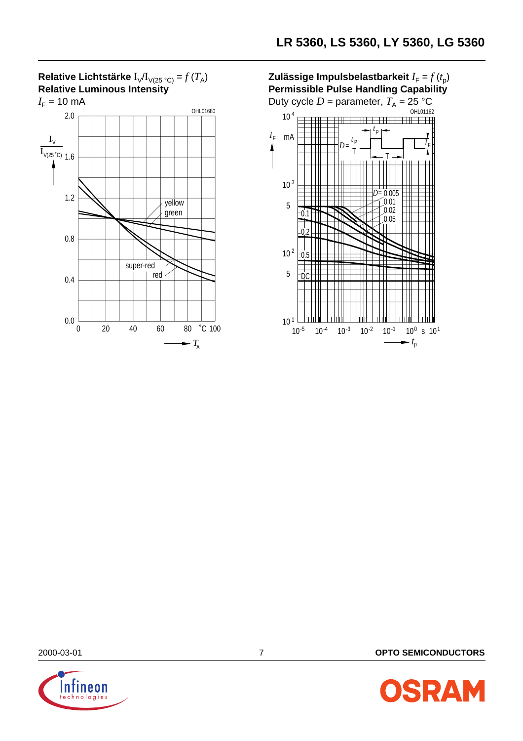

**Zulässige Impulsbelastbarkeit**  $I_F = f(t_0)$ **Permissible Pulse Handling Capability**





2000-03-01 7 **OPTO SEMICONDUCTORS**

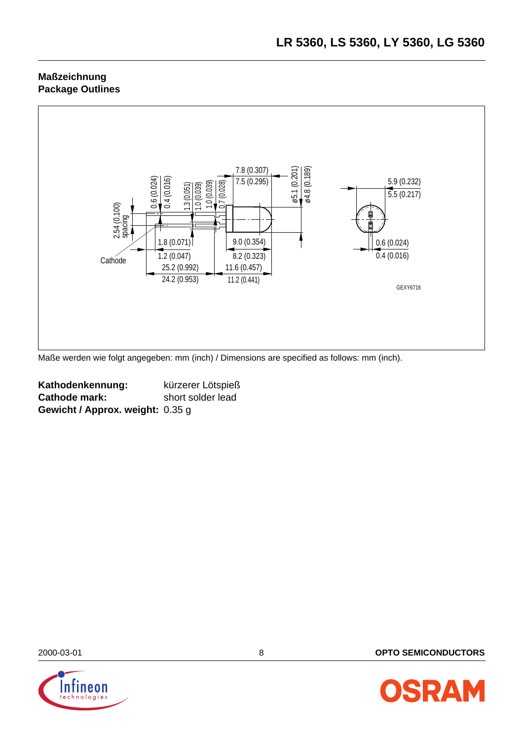# **Maßzeichnung Package Outlines**



Maße werden wie folgt angegeben: mm (inch) / Dimensions are specified as follows: mm (inch).

| Kathodenkennung:                 | kürzerer Lötspieß |
|----------------------------------|-------------------|
| <b>Cathode mark:</b>             | short solder lead |
| Gewicht / Approx. weight: 0.35 g |                   |



2000-03-01 8 **OPTO SEMICONDUCTORS**